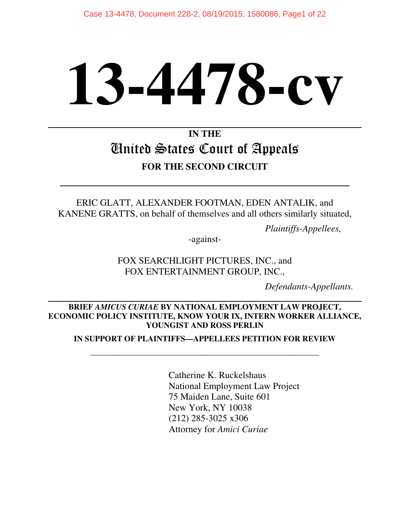# **13-4478-cv**

# **IN THE**  United States Court of Appeals **FOR THE SECOND CIRCUIT**

ERIC GLATT, ALEXANDER FOOTMAN, EDEN ANTALIK, and KANENE GRATTS, on behalf of themselves and all others similarly situated,

*Plaintiffs-Appellees,*

-against-

FOX SEARCHLIGHT PICTURES, INC., and FOX ENTERTAINMENT GROUP, INC.,

*Defendants-Appellants.* 

### $\overline{\phantom{a}}$ **BRIEF** *AMICUS CURIAE* **BY NATIONAL EMPLOYMENT LAW PROJECT, ECONOMIC POLICY INSTITUTE, KNOW YOUR IX, INTERN WORKER ALLIANCE, YOUNGIST AND ROSS PERLIN**

**IN SUPPORT OF PLAINTIFFS—APPELLEES PETITION FOR REVIEW** 

\_\_\_\_\_\_\_\_\_\_\_\_\_\_\_\_\_\_\_\_\_\_\_\_\_\_\_\_\_\_\_\_\_\_\_\_\_\_\_\_\_\_\_\_\_\_\_\_\_\_\_\_\_\_\_\_\_

 Catherine K. Ruckelshaus National Employment Law Project 75 Maiden Lane, Suite 601 New York, NY 10038 (212) 285-3025 x306 Attorney for *Amici Curiae*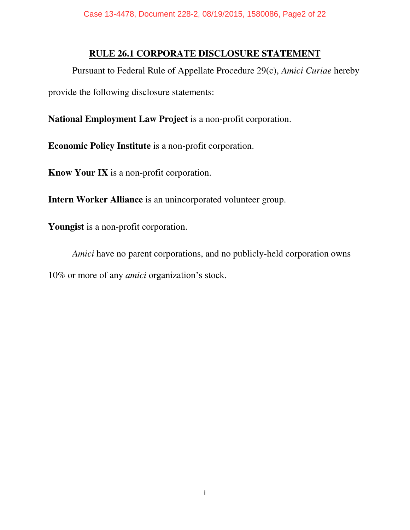### **RULE 26.1 CORPORATE DISCLOSURE STATEMENT**

 Pursuant to Federal Rule of Appellate Procedure 29(c), *Amici Curiae* hereby provide the following disclosure statements:

**National Employment Law Project** is a non-profit corporation.

**Economic Policy Institute** is a non-profit corporation.

**Know Your IX** is a non-profit corporation.

**Intern Worker Alliance** is an unincorporated volunteer group.

**Youngist** is a non-profit corporation.

*Amici* have no parent corporations, and no publicly-held corporation owns 10% or more of any *amici* organization's stock.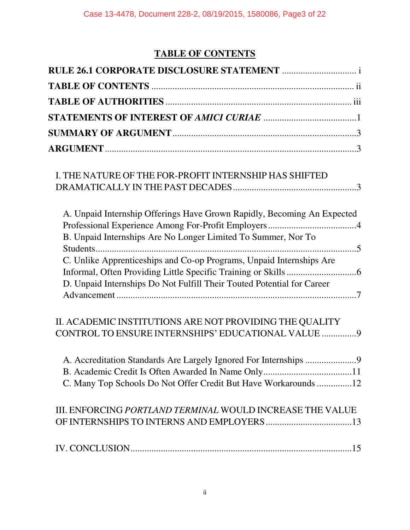# **TABLE OF CONTENTS**

| I. THE NATURE OF THE FOR-PROFIT INTERNSHIP HAS SHIFTED                  |
|-------------------------------------------------------------------------|
| A. Unpaid Internship Offerings Have Grown Rapidly, Becoming An Expected |
| B. Unpaid Internships Are No Longer Limited To Summer, Nor To           |
| C. Unlike Apprenticeships and Co-op Programs, Unpaid Internships Are    |
|                                                                         |
| D. Unpaid Internships Do Not Fulfill Their Touted Potential for Career  |
| II. ACADEMIC INSTITUTIONS ARE NOT PROVIDING THE QUALITY                 |
| CONTROL TO ENSURE INTERNSHIPS' EDUCATIONAL VALUE  9                     |
| A. Accreditation Standards Are Largely Ignored For Internships 9        |
|                                                                         |
| C. Many Top Schools Do Not Offer Credit But Have Workarounds 12         |
| III. ENFORCING PORTLAND TERMINAL WOULD INCREASE THE VALUE               |
|                                                                         |
|                                                                         |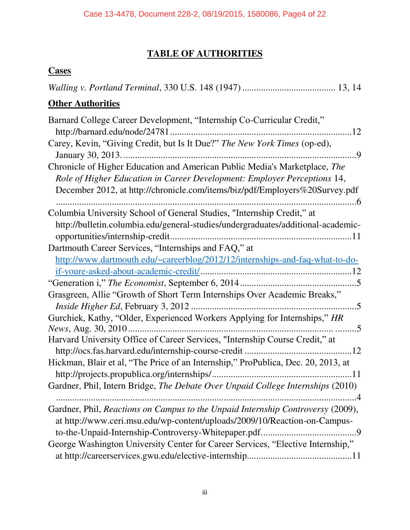## **TABLE OF AUTHORITIES**

### **Cases**

| <b>Other Authorities</b>                                                                                                                                                                                                              |
|---------------------------------------------------------------------------------------------------------------------------------------------------------------------------------------------------------------------------------------|
| Barnard College Career Development, "Internship Co-Curricular Credit,"<br>Carey, Kevin, "Giving Credit, but Is It Due?" The New York Times (op-ed),                                                                                   |
| Chronicle of Higher Education and American Public Media's Marketplace, The<br>Role of Higher Education in Career Development: Employer Perceptions 14,<br>December 2012, at http://chronicle.com/items/biz/pdf/Employers%20Survey.pdf |
| Columbia University School of General Studies, "Internship Credit," at<br>http://bulletin.columbia.edu/general-studies/undergraduates/additional-academic-                                                                            |
| Dartmouth Career Services, "Internships and FAQ," at<br>http://www.dartmouth.edu/~careerblog/2012/12/internships-and-faq-what-to-do-                                                                                                  |
| Grasgreen, Allie "Growth of Short Term Internships Over Academic Breaks,"                                                                                                                                                             |
| Gurchiek, Kathy, "Older, Experienced Workers Applying for Internships," HR<br>Harvard University Office of Career Services, "Internship Course Credit," at                                                                            |
| Hickman, Blair et al, "The Price of an Internship," ProPublica, Dec. 20, 2013, at<br>Gardner, Phil, Intern Bridge, The Debate Over Unpaid College Internships (2010)                                                                  |
| . 4<br>Gardner, Phil, Reactions on Campus to the Unpaid Internship Controversy (2009),<br>at http://www.ceri.msu.edu/wp-content/uploads/2009/10/Reaction-on-Campus-                                                                   |
| George Washington University Center for Career Services, "Elective Internship,"                                                                                                                                                       |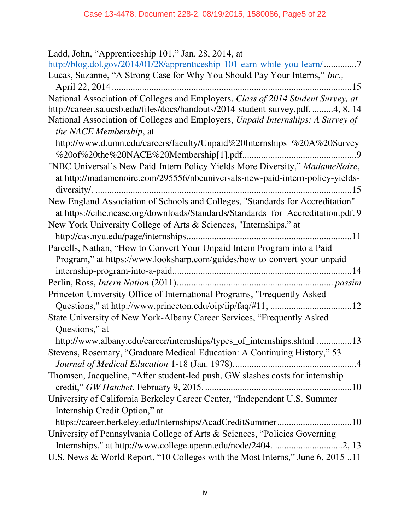| Ladd, John, "Apprenticeship 101," Jan. 28, 2014, at                                                        |
|------------------------------------------------------------------------------------------------------------|
| http://blog.dol.gov/2014/01/28/apprenticeship-101-earn-while-you-learn/7                                   |
| Lucas, Suzanne, "A Strong Case for Why You Should Pay Your Interns," Inc.,                                 |
|                                                                                                            |
| National Association of Colleges and Employers, Class of 2014 Student Survey, at                           |
| http://career.sa.ucsb.edu/files/docs/handouts/2014-student-survey.pdf. 4, 8, 14                            |
| National Association of Colleges and Employers, Unpaid Internships: A Survey of<br>the NACE Membership, at |
| http://www.d.umn.edu/careers/faculty/Unpaid%20Internships_%20A%20Survey                                    |
|                                                                                                            |
| "NBC Universal's New Paid-Intern Policy Yields More Diversity," MadameNoire,                               |
| at http://madamenoire.com/295556/nbcuniversals-new-paid-intern-policy-yields-                              |
|                                                                                                            |
| New England Association of Schools and Colleges, "Standards for Accreditation"                             |
| at https://cihe.neasc.org/downloads/Standards/Standards_for_Accreditation.pdf. 9                           |
| New York University College of Arts & Sciences, "Internships," at                                          |
|                                                                                                            |
| Parcells, Nathan, "How to Convert Your Unpaid Intern Program into a Paid                                   |
| Program," at https://www.looksharp.com/guides/how-to-convert-your-unpaid-                                  |
|                                                                                                            |
|                                                                                                            |
| Princeton University Office of International Programs, "Frequently Asked                                   |
|                                                                                                            |
| State University of New York-Albany Career Services, "Frequently Asked                                     |
| Questions," at                                                                                             |
| http://www.albany.edu/career/internships/types_of_internships.shtml 13                                     |
|                                                                                                            |
| Stevens, Rosemary, "Graduate Medical Education: A Continuing History," 53                                  |
|                                                                                                            |
| Thomsen, Jacqueline, "After student-led push, GW slashes costs for internship                              |
|                                                                                                            |
| University of California Berkeley Career Center, "Independent U.S. Summer                                  |
| Internship Credit Option," at                                                                              |
| https://career.berkeley.edu/Internships/AcadCreditSummer10                                                 |
| University of Pennsylvania College of Arts & Sciences, "Policies Governing                                 |
| Internships," at http://www.college.upenn.edu/node/2404. 2, 13                                             |
| U.S. News & World Report, "10 Colleges with the Most Interns," June 6, 2015 11                             |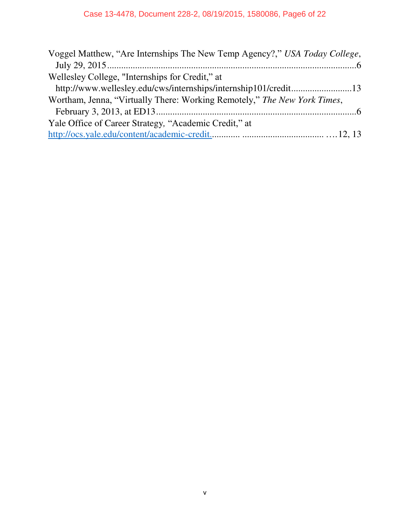| Voggel Matthew, "Are Internships The New Temp Agency?," USA Today College, |  |
|----------------------------------------------------------------------------|--|
|                                                                            |  |
| Wellesley College, "Internships for Credit," at                            |  |
|                                                                            |  |
| Wortham, Jenna, "Virtually There: Working Remotely," The New York Times,   |  |
|                                                                            |  |
| Yale Office of Career Strategy, "Academic Credit," at                      |  |
|                                                                            |  |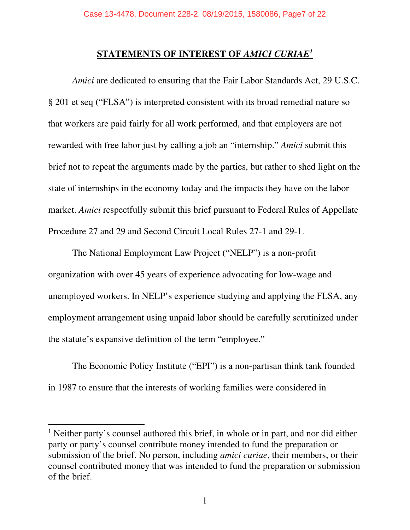### **STATEMENTS OF INTEREST OF** *AMICI CURIAE<sup>1</sup>*

*Amici* are dedicated to ensuring that the Fair Labor Standards Act, 29 U.S.C. § 201 et seq ("FLSA") is interpreted consistent with its broad remedial nature so that workers are paid fairly for all work performed, and that employers are not rewarded with free labor just by calling a job an "internship." *Amici* submit this brief not to repeat the arguments made by the parties, but rather to shed light on the state of internships in the economy today and the impacts they have on the labor market. *Amici* respectfully submit this brief pursuant to Federal Rules of Appellate Procedure 27 and 29 and Second Circuit Local Rules 27-1 and 29-1.

 The National Employment Law Project ("NELP") is a non-profit organization with over 45 years of experience advocating for low-wage and unemployed workers. In NELP's experience studying and applying the FLSA, any employment arrangement using unpaid labor should be carefully scrutinized under the statute's expansive definition of the term "employee."

The Economic Policy Institute ("EPI") is a non-partisan think tank founded in 1987 to ensure that the interests of working families were considered in

<sup>&</sup>lt;sup>1</sup> Neither party's counsel authored this brief, in whole or in part, and nor did either party or party's counsel contribute money intended to fund the preparation or submission of the brief. No person, including *amici curiae*, their members, or their counsel contributed money that was intended to fund the preparation or submission of the brief.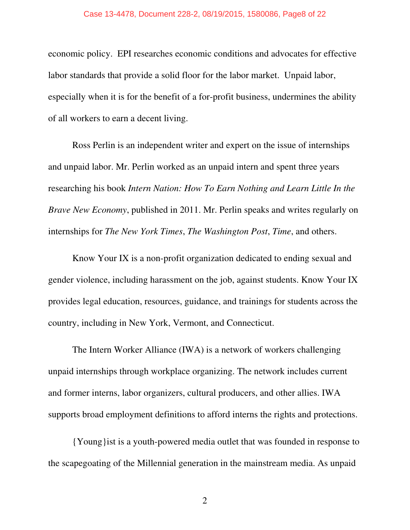### Case 13-4478, Document 228-2, 08/19/2015, 1580086, Page8 of 22

economic policy. EPI researches economic conditions and advocates for effective labor standards that provide a solid floor for the labor market. Unpaid labor, especially when it is for the benefit of a for-profit business, undermines the ability of all workers to earn a decent living.

Ross Perlin is an independent writer and expert on the issue of internships and unpaid labor. Mr. Perlin worked as an unpaid intern and spent three years researching his book *Intern Nation: How To Earn Nothing and Learn Little In the Brave New Economy*, published in 2011. Mr. Perlin speaks and writes regularly on internships for *The New York Times*, *The Washington Post*, *Time*, and others.

Know Your IX is a non-profit organization dedicated to ending sexual and gender violence, including harassment on the job, against students. Know Your IX provides legal education, resources, guidance, and trainings for students across the country, including in New York, Vermont, and Connecticut.

The Intern Worker Alliance (IWA) is a network of workers challenging unpaid internships through workplace organizing. The network includes current and former interns, labor organizers, cultural producers, and other allies. IWA supports broad employment definitions to afford interns the rights and protections.

{Young}ist is a youth-powered media outlet that was founded in response to the scapegoating of the Millennial generation in the mainstream media. As unpaid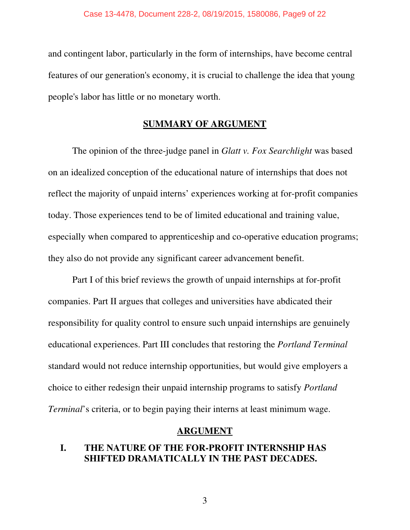and contingent labor, particularly in the form of internships, have become central features of our generation's economy, it is crucial to challenge the idea that young people's labor has little or no monetary worth.

### **SUMMARY OF ARGUMENT**

 The opinion of the three-judge panel in *Glatt v. Fox Searchlight* was based on an idealized conception of the educational nature of internships that does not reflect the majority of unpaid interns' experiences working at for-profit companies today. Those experiences tend to be of limited educational and training value, especially when compared to apprenticeship and co-operative education programs; they also do not provide any significant career advancement benefit.

Part I of this brief reviews the growth of unpaid internships at for-profit companies. Part II argues that colleges and universities have abdicated their responsibility for quality control to ensure such unpaid internships are genuinely educational experiences. Part III concludes that restoring the *Portland Terminal*  standard would not reduce internship opportunities, but would give employers a choice to either redesign their unpaid internship programs to satisfy *Portland Terminal*'s criteria, or to begin paying their interns at least minimum wage.

### **ARGUMENT**

### **I. THE NATURE OF THE FOR-PROFIT INTERNSHIP HAS SHIFTED DRAMATICALLY IN THE PAST DECADES.**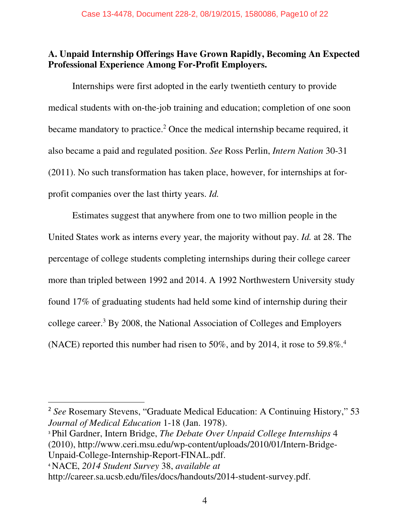### **A. Unpaid Internship Offerings Have Grown Rapidly, Becoming An Expected Professional Experience Among For-Profit Employers.**

Internships were first adopted in the early twentieth century to provide medical students with on-the-job training and education; completion of one soon became mandatory to practice.<sup>2</sup> Once the medical internship became required, it also became a paid and regulated position. *See* Ross Perlin, *Intern Nation* 30-31 (2011). No such transformation has taken place, however, for internships at forprofit companies over the last thirty years. *Id.*

Estimates suggest that anywhere from one to two million people in the United States work as interns every year, the majority without pay. *Id.* at 28. The percentage of college students completing internships during their college career more than tripled between 1992 and 2014. A 1992 Northwestern University study found 17% of graduating students had held some kind of internship during their college career.<sup>3</sup> By 2008, the National Association of Colleges and Employers (NACE) reported this number had risen to 50%, and by 2014, it rose to 59.8%.<sup>4</sup>

<sup>2</sup> *See* Rosemary Stevens, "Graduate Medical Education: A Continuing History," 53 *Journal of Medical Education* 1-18 (Jan. 1978).

<sup>3</sup> Phil Gardner, Intern Bridge, *The Debate Over Unpaid College Internships* 4 (2010), http://www.ceri.msu.edu/wp-content/uploads/2010/01/Intern-Bridge-Unpaid-College-Internship-Report-FINAL.pdf.

<sup>4</sup> NACE, *2014 Student Survey* 38, *available at*

http://career.sa.ucsb.edu/files/docs/handouts/2014-student-survey.pdf.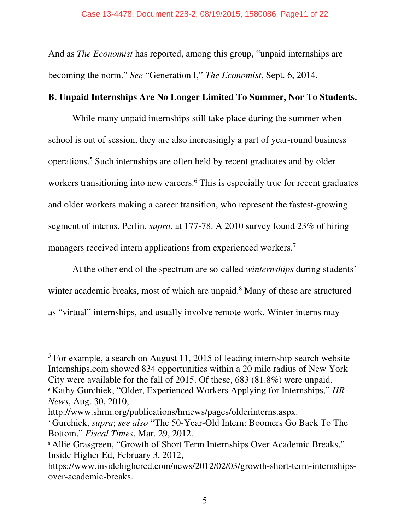And as *The Economist* has reported, among this group, "unpaid internships are becoming the norm." *See* "Generation I," *The Economist*, Sept. 6, 2014.

### **B. Unpaid Internships Are No Longer Limited To Summer, Nor To Students.**

While many unpaid internships still take place during the summer when school is out of session, they are also increasingly a part of year-round business operations.<sup>5</sup> Such internships are often held by recent graduates and by older workers transitioning into new careers.<sup>6</sup> This is especially true for recent graduates and older workers making a career transition, who represent the fastest-growing segment of interns. Perlin, *supra*, at 177-78. A 2010 survey found 23% of hiring managers received intern applications from experienced workers.<sup>7</sup>

At the other end of the spectrum are so-called *winternships* during students' winter academic breaks, most of which are unpaid.<sup>8</sup> Many of these are structured as "virtual" internships, and usually involve remote work. Winter interns may

<sup>&</sup>lt;sup>5</sup> For example, a search on August 11, 2015 of leading internship-search website Internships.com showed 834 opportunities within a 20 mile radius of New York City were available for the fall of 2015. Of these, 683 (81.8%) were unpaid. <sup>6</sup> Kathy Gurchiek, "Older, Experienced Workers Applying for Internships," *HR* 

*News*, Aug. 30, 2010,

http://www.shrm.org/publications/hrnews/pages/olderinterns.aspx.

<sup>7</sup> Gurchiek, *supra*; *see also* "The 50-Year-Old Intern: Boomers Go Back To The Bottom," *Fiscal Times*, Mar. 29, 2012.

<sup>&</sup>lt;sup>8</sup> Allie Grasgreen, "Growth of Short Term Internships Over Academic Breaks," Inside Higher Ed, February 3, 2012,

https://www.insidehighered.com/news/2012/02/03/growth-short-term-internshipsover-academic-breaks.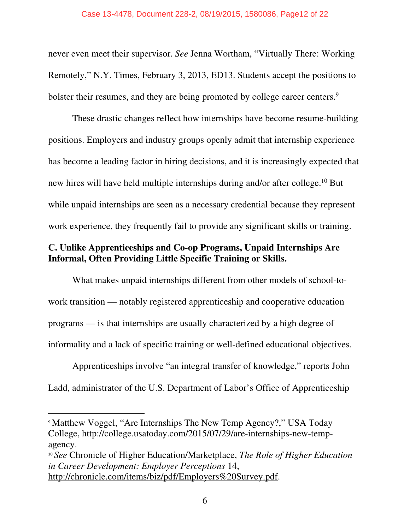never even meet their supervisor. *See* Jenna Wortham, "Virtually There: Working Remotely," N.Y. Times, February 3, 2013, ED13. Students accept the positions to bolster their resumes, and they are being promoted by college career centers.<sup>9</sup>

These drastic changes reflect how internships have become resume-building positions. Employers and industry groups openly admit that internship experience has become a leading factor in hiring decisions, and it is increasingly expected that new hires will have held multiple internships during and/or after college.<sup>10</sup> But while unpaid internships are seen as a necessary credential because they represent work experience, they frequently fail to provide any significant skills or training.

### **C. Unlike Apprenticeships and Co-op Programs, Unpaid Internships Are Informal, Often Providing Little Specific Training or Skills.**

What makes unpaid internships different from other models of school-towork transition — notably registered apprenticeship and cooperative education programs — is that internships are usually characterized by a high degree of informality and a lack of specific training or well-defined educational objectives.

Apprenticeships involve "an integral transfer of knowledge," reports John Ladd, administrator of the U.S. Department of Labor's Office of Apprenticeship

 <sup>9</sup> Matthew Voggel, "Are Internships The New Temp Agency?," USA Today College, http://college.usatoday.com/2015/07/29/are-internships-new-tempagency.

<sup>10</sup> *See* Chronicle of Higher Education/Marketplace, *The Role of Higher Education in Career Development: Employer Perceptions* 14, http://chronicle.com/items/biz/pdf/Employers%20Survey.pdf.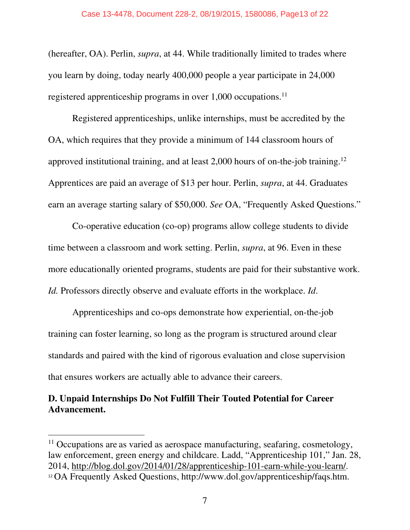(hereafter, OA). Perlin, *supra*, at 44. While traditionally limited to trades where you learn by doing, today nearly 400,000 people a year participate in 24,000 registered apprenticeship programs in over 1,000 occupations.<sup>11</sup>

Registered apprenticeships, unlike internships, must be accredited by the OA, which requires that they provide a minimum of 144 classroom hours of approved institutional training, and at least 2,000 hours of on-the-job training.<sup>12</sup> Apprentices are paid an average of \$13 per hour. Perlin, *supra*, at 44. Graduates earn an average starting salary of \$50,000. *See* OA, "Frequently Asked Questions."

 Co-operative education (co-op) programs allow college students to divide time between a classroom and work setting. Perlin, *supra*, at 96. Even in these more educationally oriented programs, students are paid for their substantive work. *Id.* Professors directly observe and evaluate efforts in the workplace. *Id*.

Apprenticeships and co-ops demonstrate how experiential, on-the-job training can foster learning, so long as the program is structured around clear standards and paired with the kind of rigorous evaluation and close supervision that ensures workers are actually able to advance their careers.

### **D. Unpaid Internships Do Not Fulfill Their Touted Potential for Career Advancement.**

 $11$  Occupations are as varied as aerospace manufacturing, seafaring, cosmetology, law enforcement, green energy and childcare. Ladd, "Apprenticeship 101," Jan. 28, 2014, http://blog.dol.gov/2014/01/28/apprenticeship-101-earn-while-you-learn/. <sup>12</sup> OA Frequently Asked Questions, http://www.dol.gov/apprenticeship/faqs.htm.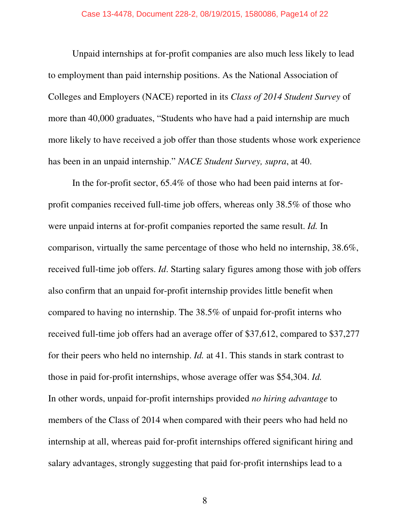Unpaid internships at for-profit companies are also much less likely to lead to employment than paid internship positions. As the National Association of Colleges and Employers (NACE) reported in its *Class of 2014 Student Survey* of more than 40,000 graduates, "Students who have had a paid internship are much more likely to have received a job offer than those students whose work experience has been in an unpaid internship." *NACE Student Survey, supra*, at 40.

In the for-profit sector, 65.4% of those who had been paid interns at forprofit companies received full-time job offers, whereas only 38.5% of those who were unpaid interns at for-profit companies reported the same result. *Id.* In comparison, virtually the same percentage of those who held no internship, 38.6%, received full-time job offers. *Id*. Starting salary figures among those with job offers also confirm that an unpaid for-profit internship provides little benefit when compared to having no internship. The 38.5% of unpaid for-profit interns who received full-time job offers had an average offer of \$37,612, compared to \$37,277 for their peers who held no internship. *Id.* at 41. This stands in stark contrast to those in paid for-profit internships, whose average offer was \$54,304. *Id.* In other words, unpaid for-profit internships provided *no hiring advantage* to members of the Class of 2014 when compared with their peers who had held no internship at all, whereas paid for-profit internships offered significant hiring and salary advantages, strongly suggesting that paid for-profit internships lead to a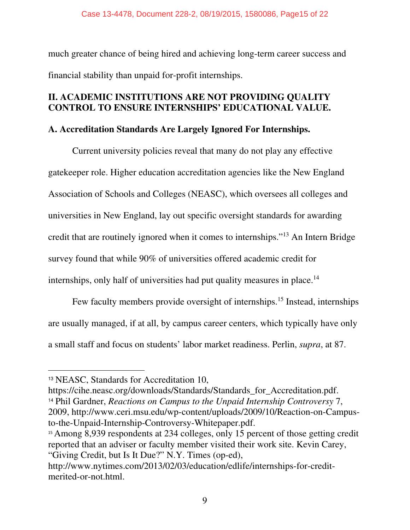much greater chance of being hired and achieving long-term career success and financial stability than unpaid for-profit internships.

### **II. ACADEMIC INSTITUTIONS ARE NOT PROVIDING QUALITY CONTROL TO ENSURE INTERNSHIPS' EDUCATIONAL VALUE.**

### **A. Accreditation Standards Are Largely Ignored For Internships.**

Current university policies reveal that many do not play any effective gatekeeper role. Higher education accreditation agencies like the New England Association of Schools and Colleges (NEASC), which oversees all colleges and universities in New England, lay out specific oversight standards for awarding credit that are routinely ignored when it comes to internships."<sup>13</sup> An Intern Bridge survey found that while 90% of universities offered academic credit for internships, only half of universities had put quality measures in place.<sup>14</sup>

Few faculty members provide oversight of internships.<sup>15</sup> Instead, internships are usually managed, if at all, by campus career centers, which typically have only a small staff and focus on students' labor market readiness. Perlin, *supra*, at 87.

https://cihe.neasc.org/downloads/Standards/Standards\_for\_Accreditation.pdf.

<sup>14</sup> Phil Gardner, *Reactions on Campus to the Unpaid Internship Controversy* 7, 2009, http://www.ceri.msu.edu/wp-content/uploads/2009/10/Reaction-on-Campusto-the-Unpaid-Internship-Controversy-Whitepaper.pdf.

<sup>15</sup> Among 8,939 respondents at 234 colleges, only 15 percent of those getting credit reported that an adviser or faculty member visited their work site. Kevin Carey, "Giving Credit, but Is It Due?" N.Y. Times (op-ed),

<sup>13</sup> NEASC, Standards for Accreditation 10,

http://www.nytimes.com/2013/02/03/education/edlife/internships-for-creditmerited-or-not.html.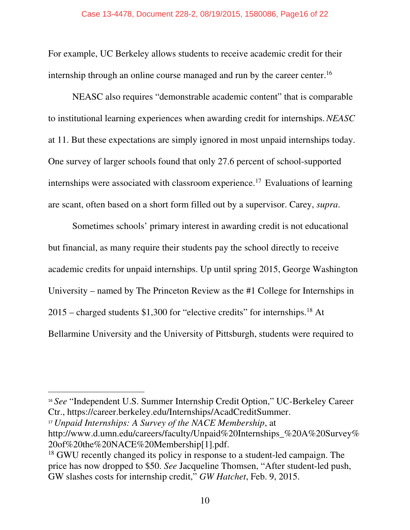For example, UC Berkeley allows students to receive academic credit for their internship through an online course managed and run by the career center.<sup>16</sup>

 NEASC also requires "demonstrable academic content" that is comparable to institutional learning experiences when awarding credit for internships.*NEASC*  at 11. But these expectations are simply ignored in most unpaid internships today. One survey of larger schools found that only 27.6 percent of school-supported internships were associated with classroom experience.<sup>17</sup> Evaluations of learning are scant, often based on a short form filled out by a supervisor. Carey, *supra*.

Sometimes schools' primary interest in awarding credit is not educational but financial, as many require their students pay the school directly to receive academic credits for unpaid internships. Up until spring 2015, George Washington University – named by The Princeton Review as the #1 College for Internships in  $2015$  – charged students \$1,300 for "elective credits" for internships.<sup>18</sup> At Bellarmine University and the University of Pittsburgh, students were required to

<sup>16</sup> *See* "Independent U.S. Summer Internship Credit Option," UC-Berkeley Career Ctr., https://career.berkeley.edu/Internships/AcadCreditSummer.

<sup>17</sup> *Unpaid Internships: A Survey of the NACE Membership*, at http://www.d.umn.edu/careers/faculty/Unpaid%20Internships\_%20A%20Survey% 20of%20the%20NACE%20Membership[1].pdf.

<sup>&</sup>lt;sup>18</sup> GWU recently changed its policy in response to a student-led campaign. The price has now dropped to \$50. *See* Jacqueline Thomsen, "After student-led push, GW slashes costs for internship credit," *GW Hatchet*, Feb. 9, 2015.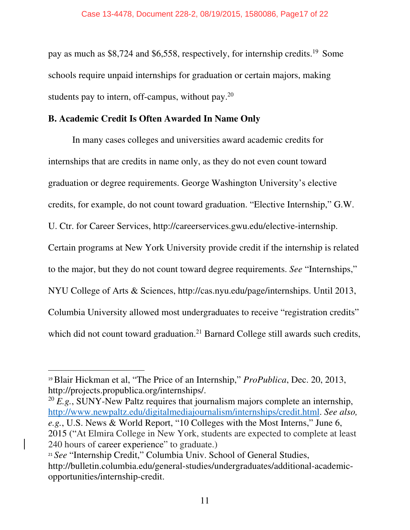pay as much as \$8,724 and \$6,558, respectively, for internship credits.<sup>19</sup> Some schools require unpaid internships for graduation or certain majors, making students pay to intern, off-campus, without pay.<sup>20</sup>

### **B. Academic Credit Is Often Awarded In Name Only**

In many cases colleges and universities award academic credits for internships that are credits in name only, as they do not even count toward graduation or degree requirements. George Washington University's elective credits, for example, do not count toward graduation. "Elective Internship," G.W. U. Ctr. for Career Services, http://careerservices.gwu.edu/elective-internship. Certain programs at New York University provide credit if the internship is related to the major, but they do not count toward degree requirements. *See* "Internships," NYU College of Arts & Sciences, http://cas.nyu.edu/page/internships. Until 2013, Columbia University allowed most undergraduates to receive "registration credits" which did not count toward graduation.<sup>21</sup> Barnard College still awards such credits,

<sup>20</sup> *E.g.*, SUNY-New Paltz requires that journalism majors complete an internship, http://www.newpaltz.edu/digitalmediajournalism/internships/credit.html. *See also, e.g.*, U.S. News & World Report, "10 Colleges with the Most Interns," June 6, 2015 ("At Elmira College in New York, students are expected to complete at least 240 hours of career experience" to graduate.)

<sup>19</sup>Blair Hickman et al, "The Price of an Internship," *ProPublica*, Dec. 20, 2013, http://projects.propublica.org/internships/.

<sup>&</sup>lt;sup>21</sup> See "Internship Credit," Columbia Univ. School of General Studies, http://bulletin.columbia.edu/general-studies/undergraduates/additional-academicopportunities/internship-credit.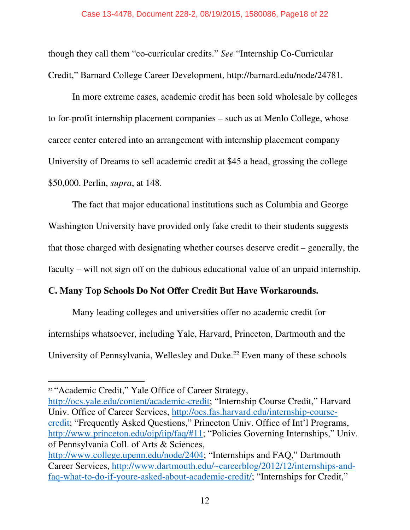though they call them "co-curricular credits." *See* "Internship Co-Curricular Credit," Barnard College Career Development, http://barnard.edu/node/24781.

In more extreme cases, academic credit has been sold wholesale by colleges to for-profit internship placement companies – such as at Menlo College, whose career center entered into an arrangement with internship placement company University of Dreams to sell academic credit at \$45 a head, grossing the college \$50,000. Perlin, *supra*, at 148.

The fact that major educational institutions such as Columbia and George Washington University have provided only fake credit to their students suggests that those charged with designating whether courses deserve credit – generally, the faculty – will not sign off on the dubious educational value of an unpaid internship.

### **C. Many Top Schools Do Not Offer Credit But Have Workarounds.**

Many leading colleges and universities offer no academic credit for internships whatsoever, including Yale, Harvard, Princeton, Dartmouth and the University of Pennsylvania, Wellesley and Duke.<sup>22</sup> Even many of these schools

http://ocs.yale.edu/content/academic-credit; "Internship Course Credit," Harvard Univ. Office of Career Services, http://ocs.fas.harvard.edu/internship-coursecredit; "Frequently Asked Questions," Princeton Univ. Office of Int'l Programs, http://www.princeton.edu/oip/iip/faq/#11; "Policies Governing Internships," Univ. of Pennsylvania Coll. of Arts & Sciences,

<sup>&</sup>lt;sup>22</sup> "Academic Credit," Yale Office of Career Strategy,

http://www.college.upenn.edu/node/2404; "Internships and FAQ," Dartmouth Career Services, http://www.dartmouth.edu/~careerblog/2012/12/internships-andfaq-what-to-do-if-youre-asked-about-academic-credit/; "Internships for Credit,"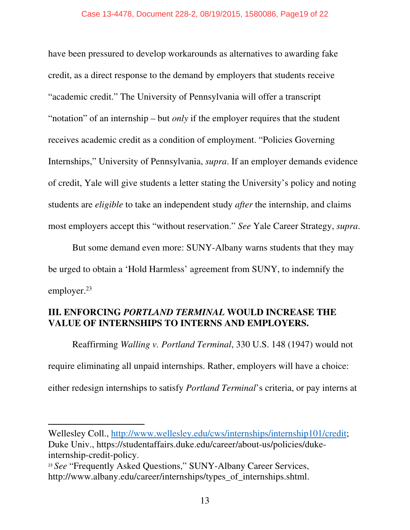have been pressured to develop workarounds as alternatives to awarding fake credit, as a direct response to the demand by employers that students receive "academic credit." The University of Pennsylvania will offer a transcript "notation" of an internship – but *only* if the employer requires that the student receives academic credit as a condition of employment. "Policies Governing Internships," University of Pennsylvania, *supra*. If an employer demands evidence of credit, Yale will give students a letter stating the University's policy and noting students are *eligible* to take an independent study *after* the internship, and claims most employers accept this "without reservation." *See* Yale Career Strategy, *supra*.

But some demand even more: SUNY-Albany warns students that they may be urged to obtain a 'Hold Harmless' agreement from SUNY, to indemnify the employer.<sup>23</sup>

### **III. ENFORCING** *PORTLAND TERMINAL* **WOULD INCREASE THE VALUE OF INTERNSHIPS TO INTERNS AND EMPLOYERS.**

Reaffirming *Walling v. Portland Terminal*, 330 U.S. 148 (1947) would not require eliminating all unpaid internships. Rather, employers will have a choice: either redesign internships to satisfy *Portland Terminal*'s criteria, or pay interns at

Wellesley Coll., http://www.wellesley.edu/cws/internships/internship101/credit; Duke Univ., https://studentaffairs.duke.edu/career/about-us/policies/dukeinternship-credit-policy.

<sup>&</sup>lt;sup>23</sup> See "Frequently Asked Questions," SUNY-Albany Career Services, http://www.albany.edu/career/internships/types\_of\_internships.shtml.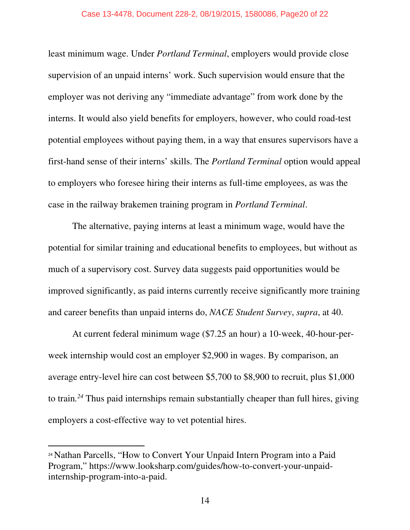least minimum wage. Under *Portland Terminal*, employers would provide close supervision of an unpaid interns' work. Such supervision would ensure that the employer was not deriving any "immediate advantage" from work done by the interns. It would also yield benefits for employers, however, who could road-test potential employees without paying them, in a way that ensures supervisors have a first-hand sense of their interns' skills. The *Portland Terminal* option would appeal to employers who foresee hiring their interns as full-time employees, as was the case in the railway brakemen training program in *Portland Terminal*.

The alternative, paying interns at least a minimum wage, would have the potential for similar training and educational benefits to employees, but without as much of a supervisory cost. Survey data suggests paid opportunities would be improved significantly, as paid interns currently receive significantly more training and career benefits than unpaid interns do, *NACE Student Survey*, *supra*, at 40.

At current federal minimum wage (\$7.25 an hour) a 10-week, 40-hour-perweek internship would cost an employer \$2,900 in wages. By comparison, an average entry-level hire can cost between \$5,700 to \$8,900 to recruit, plus \$1,000 to train*. <sup>24</sup>* Thus paid internships remain substantially cheaper than full hires, giving employers a cost-effective way to vet potential hires.

<sup>24</sup> Nathan Parcells, "How to Convert Your Unpaid Intern Program into a Paid Program," https://www.looksharp.com/guides/how-to-convert-your-unpaidinternship-program-into-a-paid.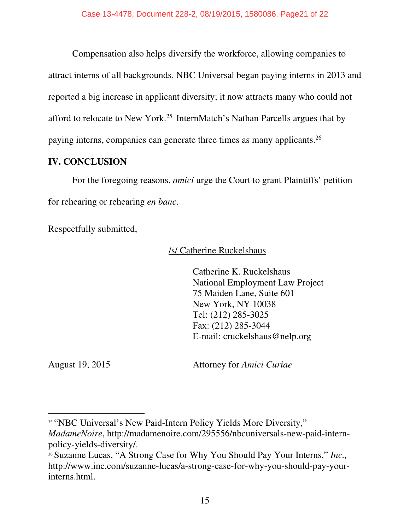Compensation also helps diversify the workforce, allowing companies to attract interns of all backgrounds. NBC Universal began paying interns in 2013 and reported a big increase in applicant diversity; it now attracts many who could not afford to relocate to New York.<sup>25</sup> InternMatch's Nathan Parcells argues that by paying interns, companies can generate three times as many applicants.<sup>26</sup>

### **IV. CONCLUSION**

For the foregoing reasons, *amici* urge the Court to grant Plaintiffs' petition for rehearing or rehearing *en banc*.

Respectfully submitted,

/s/ Catherine Ruckelshaus

Catherine K. Ruckelshaus National Employment Law Project 75 Maiden Lane, Suite 601 New York, NY 10038 Tel: (212) 285-3025 Fax: (212) 285-3044 E-mail: cruckelshaus@nelp.org

August 19, 2015 Attorney for *Amici Curiae*

<sup>&</sup>lt;sup>25</sup> "NBC Universal's New Paid-Intern Policy Yields More Diversity,"

*MadameNoire*, http://madamenoire.com/295556/nbcuniversals-new-paid-internpolicy-yields-diversity/.

<sup>26</sup> Suzanne Lucas, "A Strong Case for Why You Should Pay Your Interns," *Inc.,*  http://www.inc.com/suzanne-lucas/a-strong-case-for-why-you-should-pay-yourinterns.html.